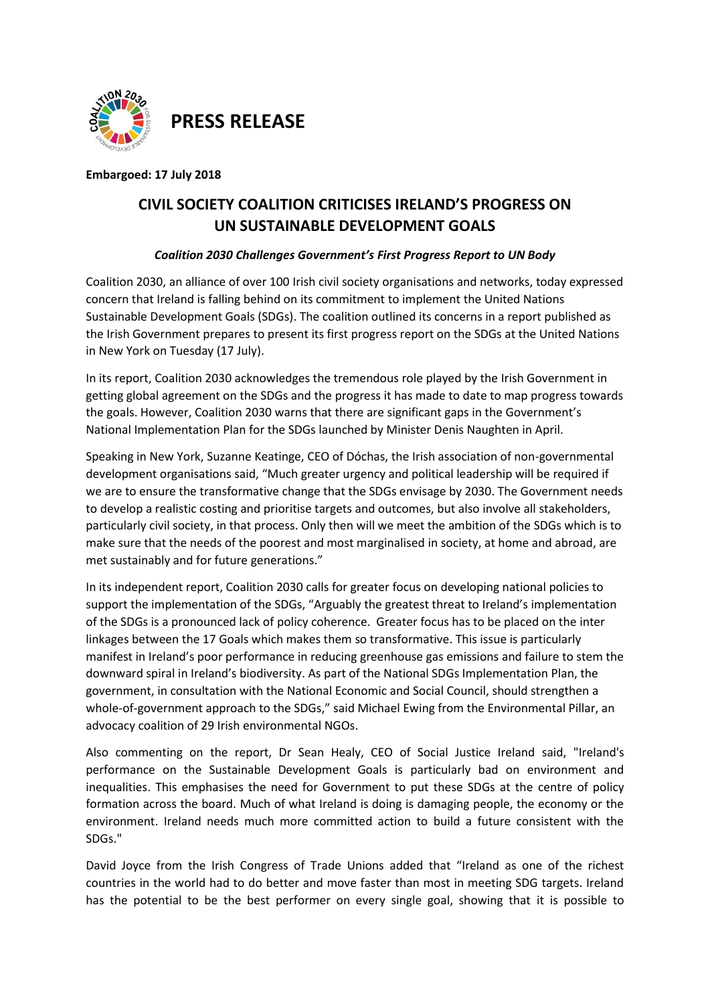

**PRESS RELEASE**

**Embargoed: 17 July 2018**

# **CIVIL SOCIETY COALITION CRITICISES IRELAND'S PROGRESS ON UN SUSTAINABLE DEVELOPMENT GOALS**

## *Coalition 2030 Challenges Government's First Progress Report to UN Body*

Coalition 2030, an alliance of over 100 Irish civil society organisations and networks, today expressed concern that Ireland is falling behind on its commitment to implement the United Nations Sustainable Development Goals (SDGs). The coalition outlined its concerns in a report published as the Irish Government prepares to present its first progress report on the SDGs at the United Nations in New York on Tuesday (17 July).

In its report, Coalition 2030 acknowledges the tremendous role played by the Irish Government in getting global agreement on the SDGs and the progress it has made to date to map progress towards the goals. However, Coalition 2030 warns that there are significant gaps in the Government's National Implementation Plan for the SDGs launched by Minister Denis Naughten in April.

Speaking in New York, Suzanne Keatinge, CEO of Dóchas, the Irish association of non-governmental development organisations said, "Much greater urgency and political leadership will be required if we are to ensure the transformative change that the SDGs envisage by 2030. The Government needs to develop a realistic costing and prioritise targets and outcomes, but also involve all stakeholders, particularly civil society, in that process. Only then will we meet the ambition of the SDGs which is to make sure that the needs of the poorest and most marginalised in society, at home and abroad, are met sustainably and for future generations."

In its independent report, Coalition 2030 calls for greater focus on developing national policies to support the implementation of the SDGs, "Arguably the greatest threat to Ireland's implementation of the SDGs is a pronounced lack of policy coherence. Greater focus has to be placed on the inter linkages between the 17 Goals which makes them so transformative. This issue is particularly manifest in Ireland's poor performance in reducing greenhouse gas emissions and failure to stem the downward spiral in Ireland's biodiversity. As part of the National SDGs Implementation Plan, the government, in consultation with the National Economic and Social Council, should strengthen a whole-of-government approach to the SDGs," said Michael Ewing from the Environmental Pillar, an advocacy coalition of 29 Irish environmental NGOs.

Also commenting on the report, Dr Sean Healy, CEO of Social Justice Ireland said, "Ireland's performance on the Sustainable Development Goals is particularly bad on environment and inequalities. This emphasises the need for Government to put these SDGs at the centre of policy formation across the board. Much of what Ireland is doing is damaging people, the economy or the environment. Ireland needs much more committed action to build a future consistent with the SDGs."

David Joyce from the Irish Congress of Trade Unions added that "Ireland as one of the richest countries in the world had to do better and move faster than most in meeting SDG targets. Ireland has the potential to be the best performer on every single goal, showing that it is possible to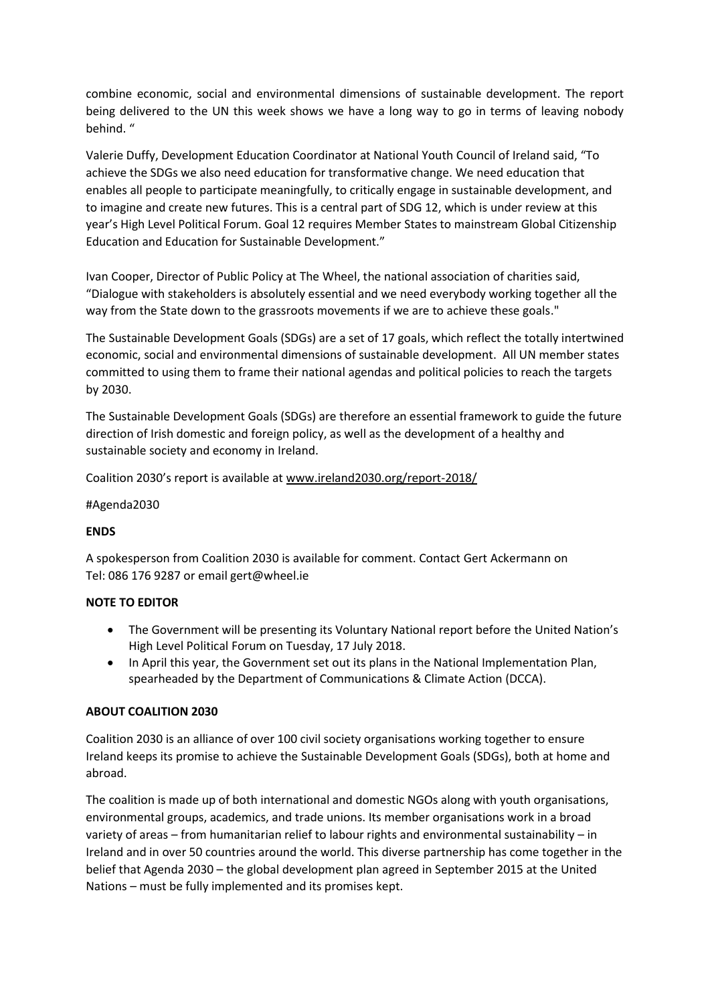combine economic, social and environmental dimensions of sustainable development. The report being delivered to the UN this week shows we have a long way to go in terms of leaving nobody behind. "

Valerie Duffy, Development Education Coordinator at National Youth Council of Ireland said, "To achieve the SDGs we also need education for transformative change. We need education that enables all people to participate meaningfully, to critically engage in sustainable development, and to imagine and create new futures. This is a central part of SDG 12, which is under review at this year's High Level Political Forum. Goal 12 requires Member States to mainstream Global Citizenship Education and Education for Sustainable Development."

Ivan Cooper, Director of Public Policy at The Wheel, the national association of charities said, "Dialogue with stakeholders is absolutely essential and we need everybody working together all the way from the State down to the grassroots movements if we are to achieve these goals."

The Sustainable Development Goals (SDGs) are a set of 17 goals, which reflect the totally intertwined economic, social and environmental dimensions of sustainable development. All UN member states committed to using them to frame their national agendas and political policies to reach the targets by 2030.

The Sustainable Development Goals (SDGs) are therefore an essential framework to guide the future direction of Irish domestic and foreign policy, as well as the development of a healthy and sustainable society and economy in Ireland.

Coalition 2030's report is available at [www.ireland2030.org/report-2018/](http://www.ireland2030.org/report-2018/)

#### #Agenda2030

## **ENDS**

A spokesperson from Coalition 2030 is available for comment. Contact Gert Ackermann on Tel: 086 176 9287 or email gert@wheel.ie

#### **NOTE TO EDITOR**

- The Government will be presenting its Voluntary National report before the United Nation's High Level Political Forum on Tuesday, 17 July 2018.
- In April this year, the Government set out its plans in the National Implementation Plan, spearheaded by the Department of Communications & Climate Action (DCCA).

## **ABOUT COALITION 2030**

Coalition 2030 is an alliance of over 100 civil society organisations working together to ensure Ireland keeps its promise to achieve the Sustainable Development Goals (SDGs), both at home and abroad.

The coalition is made up of both international and domestic NGOs along with youth organisations, environmental groups, academics, and trade unions. Its member organisations work in a broad variety of areas – from humanitarian relief to labour rights and environmental sustainability – in Ireland and in over 50 countries around the world. This diverse partnership has come together in the belief that Agenda 2030 – the global development plan agreed in September 2015 at the United Nations – must be fully implemented and its promises kept.